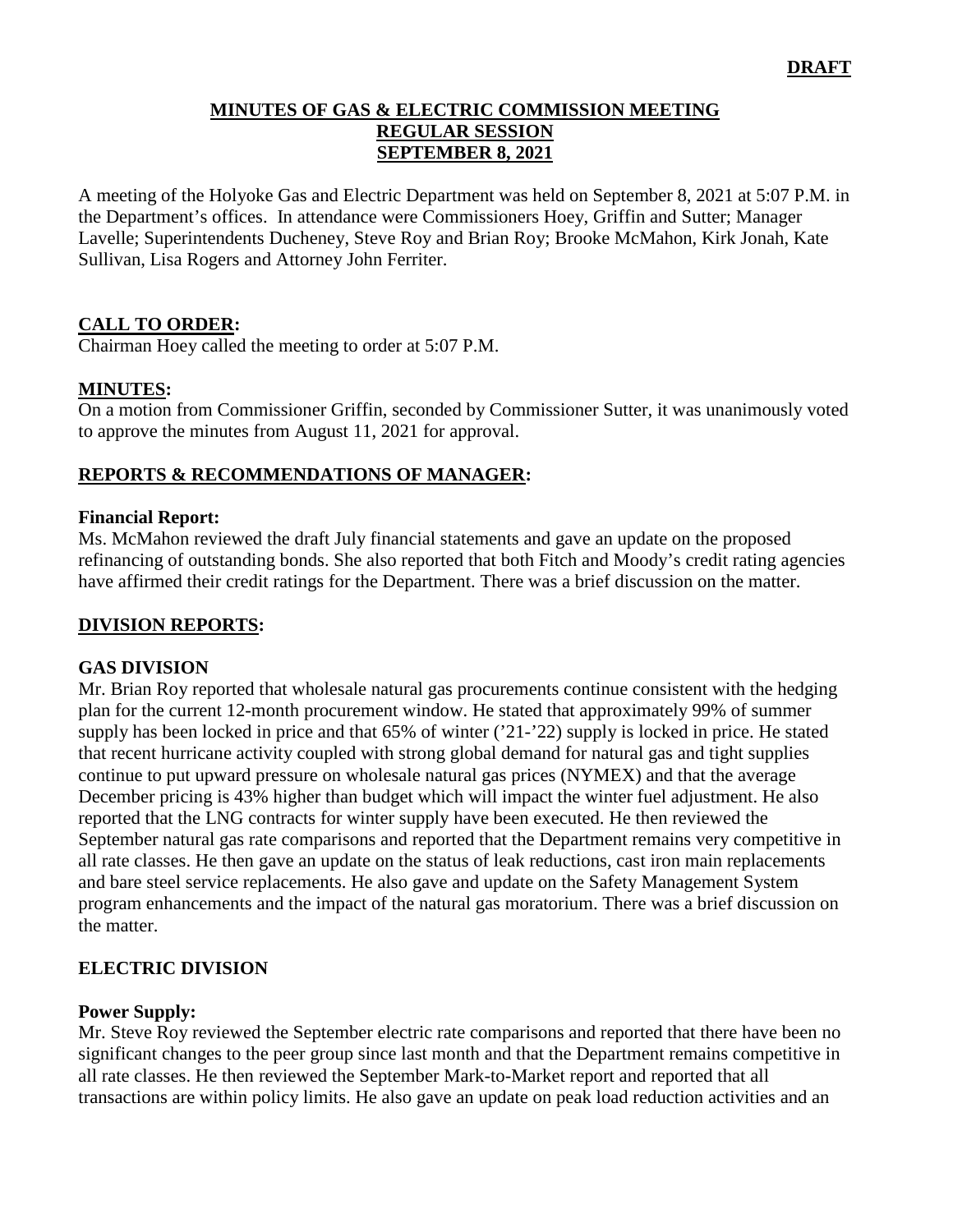#### **MINUTES OF GAS & ELECTRIC COMMISSION MEETING REGULAR SESSION SEPTEMBER 8, 2021**

A meeting of the Holyoke Gas and Electric Department was held on September 8, 2021 at 5:07 P.M. in the Department's offices. In attendance were Commissioners Hoey, Griffin and Sutter; Manager Lavelle; Superintendents Ducheney, Steve Roy and Brian Roy; Brooke McMahon, Kirk Jonah, Kate Sullivan, Lisa Rogers and Attorney John Ferriter.

# **CALL TO ORDER:**

Chairman Hoey called the meeting to order at 5:07 P.M.

### **MINUTES:**

On a motion from Commissioner Griffin, seconded by Commissioner Sutter, it was unanimously voted to approve the minutes from August 11, 2021 for approval.

### **REPORTS & RECOMMENDATIONS OF MANAGER:**

#### **Financial Report:**

Ms. McMahon reviewed the draft July financial statements and gave an update on the proposed refinancing of outstanding bonds. She also reported that both Fitch and Moody's credit rating agencies have affirmed their credit ratings for the Department. There was a brief discussion on the matter.

### **DIVISION REPORTS:**

#### **GAS DIVISION**

Mr. Brian Roy reported that wholesale natural gas procurements continue consistent with the hedging plan for the current 12-month procurement window. He stated that approximately 99% of summer supply has been locked in price and that 65% of winter ('21-'22) supply is locked in price. He stated that recent hurricane activity coupled with strong global demand for natural gas and tight supplies continue to put upward pressure on wholesale natural gas prices (NYMEX) and that the average December pricing is 43% higher than budget which will impact the winter fuel adjustment. He also reported that the LNG contracts for winter supply have been executed. He then reviewed the September natural gas rate comparisons and reported that the Department remains very competitive in all rate classes. He then gave an update on the status of leak reductions, cast iron main replacements and bare steel service replacements. He also gave and update on the Safety Management System program enhancements and the impact of the natural gas moratorium. There was a brief discussion on the matter.

### **ELECTRIC DIVISION**

### **Power Supply:**

Mr. Steve Roy reviewed the September electric rate comparisons and reported that there have been no significant changes to the peer group since last month and that the Department remains competitive in all rate classes. He then reviewed the September Mark-to-Market report and reported that all transactions are within policy limits. He also gave an update on peak load reduction activities and an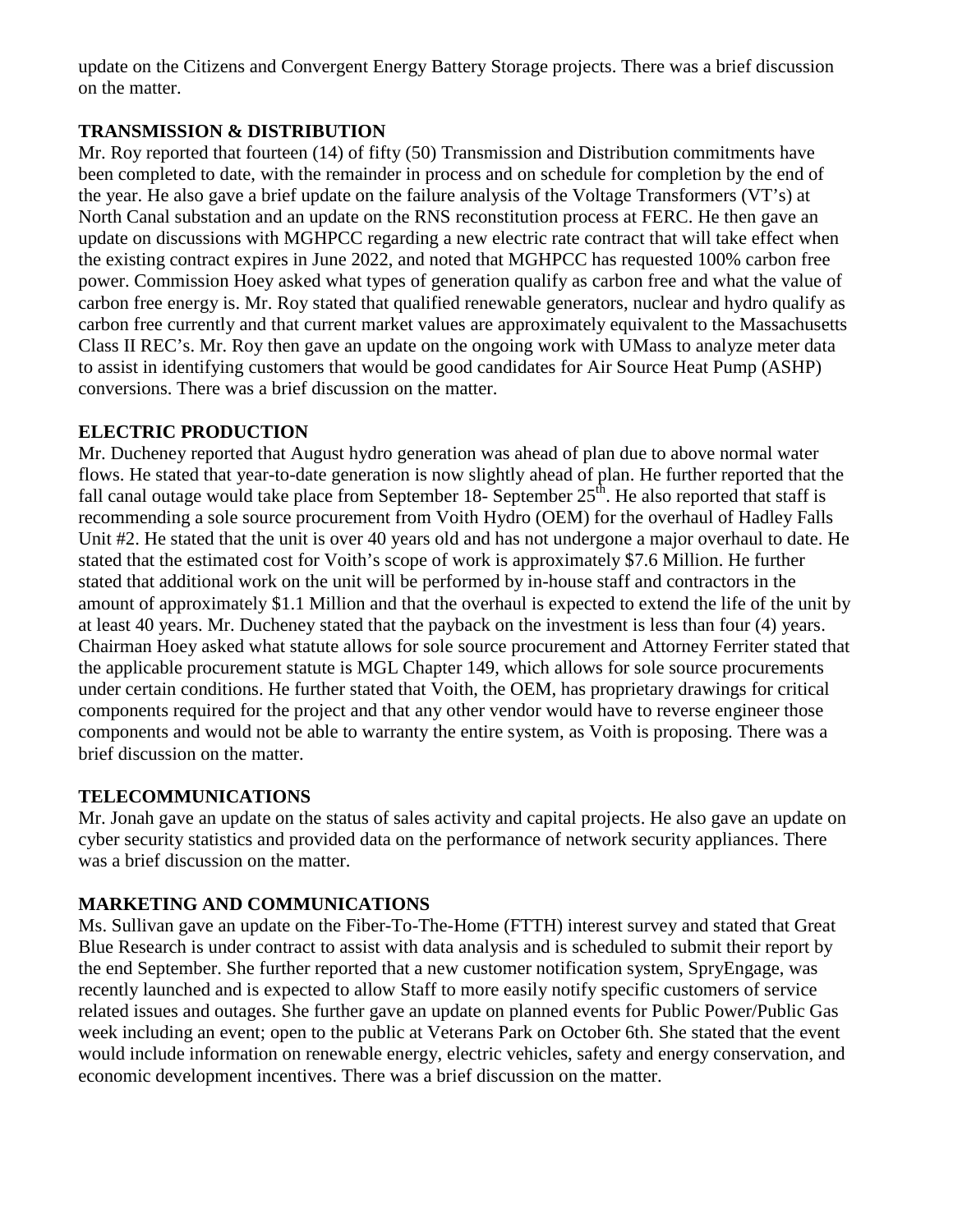update on the Citizens and Convergent Energy Battery Storage projects. There was a brief discussion on the matter.

# **TRANSMISSION & DISTRIBUTION**

Mr. Roy reported that fourteen (14) of fifty (50) Transmission and Distribution commitments have been completed to date, with the remainder in process and on schedule for completion by the end of the year. He also gave a brief update on the failure analysis of the Voltage Transformers (VT's) at North Canal substation and an update on the RNS reconstitution process at FERC. He then gave an update on discussions with MGHPCC regarding a new electric rate contract that will take effect when the existing contract expires in June 2022, and noted that MGHPCC has requested 100% carbon free power. Commission Hoey asked what types of generation qualify as carbon free and what the value of carbon free energy is. Mr. Roy stated that qualified renewable generators, nuclear and hydro qualify as carbon free currently and that current market values are approximately equivalent to the Massachusetts Class II REC's. Mr. Roy then gave an update on the ongoing work with UMass to analyze meter data to assist in identifying customers that would be good candidates for Air Source Heat Pump (ASHP) conversions. There was a brief discussion on the matter.

# **ELECTRIC PRODUCTION**

Mr. Ducheney reported that August hydro generation was ahead of plan due to above normal water flows. He stated that year-to-date generation is now slightly ahead of plan. He further reported that the fall canal outage would take place from September 18- September  $25<sup>th</sup>$ . He also reported that staff is recommending a sole source procurement from Voith Hydro (OEM) for the overhaul of Hadley Falls Unit #2. He stated that the unit is over 40 years old and has not undergone a major overhaul to date. He stated that the estimated cost for Voith's scope of work is approximately \$7.6 Million. He further stated that additional work on the unit will be performed by in-house staff and contractors in the amount of approximately \$1.1 Million and that the overhaul is expected to extend the life of the unit by at least 40 years. Mr. Ducheney stated that the payback on the investment is less than four (4) years. Chairman Hoey asked what statute allows for sole source procurement and Attorney Ferriter stated that the applicable procurement statute is MGL Chapter 149, which allows for sole source procurements under certain conditions. He further stated that Voith, the OEM, has proprietary drawings for critical components required for the project and that any other vendor would have to reverse engineer those components and would not be able to warranty the entire system, as Voith is proposing. There was a brief discussion on the matter.

### **TELECOMMUNICATIONS**

Mr. Jonah gave an update on the status of sales activity and capital projects. He also gave an update on cyber security statistics and provided data on the performance of network security appliances. There was a brief discussion on the matter.

### **MARKETING AND COMMUNICATIONS**

Ms. Sullivan gave an update on the Fiber-To-The-Home (FTTH) interest survey and stated that Great Blue Research is under contract to assist with data analysis and is scheduled to submit their report by the end September. She further reported that a new customer notification system, SpryEngage, was recently launched and is expected to allow Staff to more easily notify specific customers of service related issues and outages. She further gave an update on planned events for Public Power/Public Gas week including an event; open to the public at Veterans Park on October 6th. She stated that the event would include information on renewable energy, electric vehicles, safety and energy conservation, and economic development incentives. There was a brief discussion on the matter.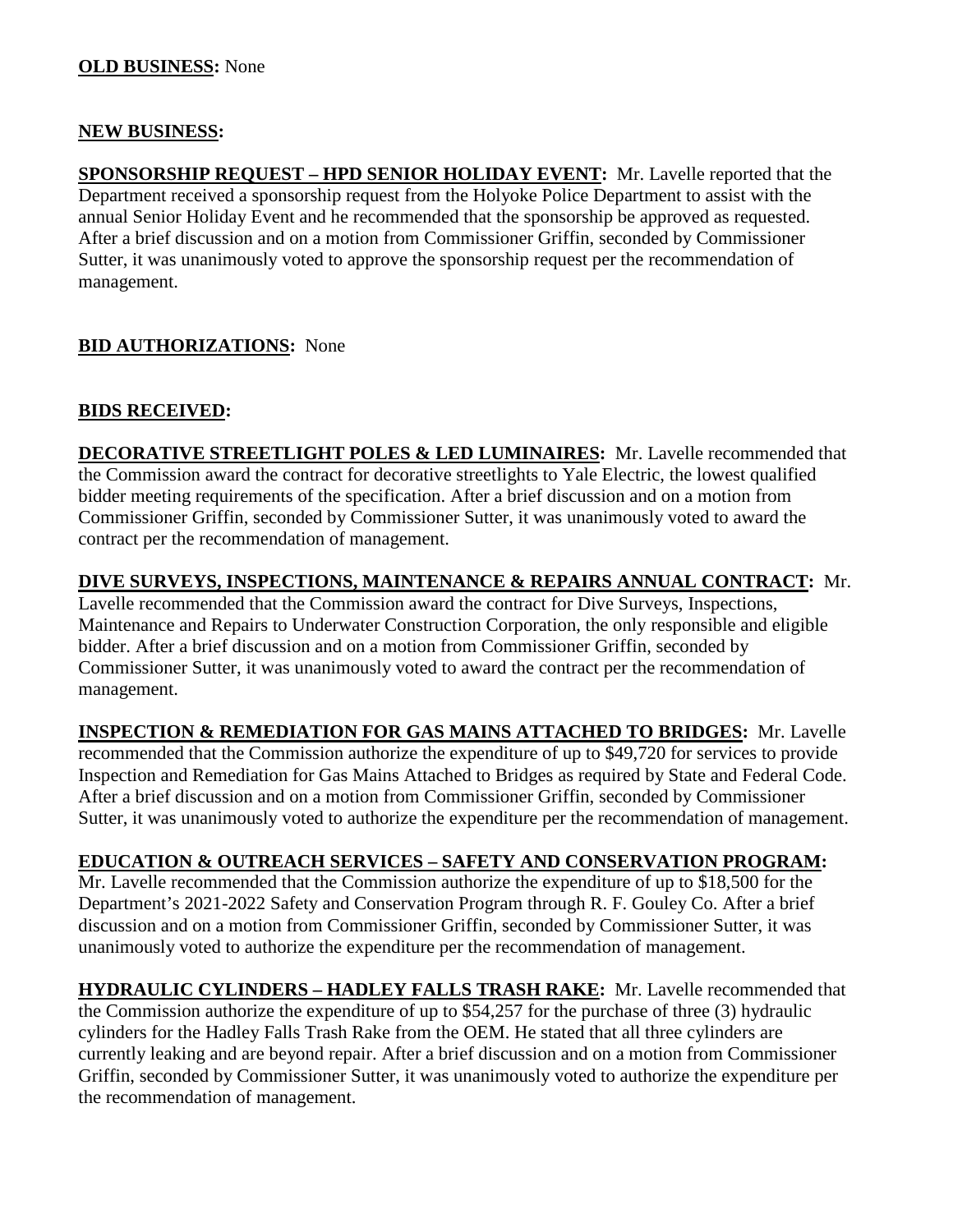### **NEW BUSINESS:**

**SPONSORSHIP REQUEST – HPD SENIOR HOLIDAY EVENT:** Mr. Lavelle reported that the Department received a sponsorship request from the Holyoke Police Department to assist with the annual Senior Holiday Event and he recommended that the sponsorship be approved as requested. After a brief discussion and on a motion from Commissioner Griffin, seconded by Commissioner Sutter, it was unanimously voted to approve the sponsorship request per the recommendation of management.

# **BID AUTHORIZATIONS:** None

# **BIDS RECEIVED:**

**DECORATIVE STREETLIGHT POLES & LED LUMINAIRES:** Mr. Lavelle recommended that the Commission award the contract for decorative streetlights to Yale Electric, the lowest qualified bidder meeting requirements of the specification. After a brief discussion and on a motion from Commissioner Griffin, seconded by Commissioner Sutter, it was unanimously voted to award the contract per the recommendation of management.

**DIVE SURVEYS, INSPECTIONS, MAINTENANCE & REPAIRS ANNUAL CONTRACT:** Mr.

Lavelle recommended that the Commission award the contract for Dive Surveys, Inspections, Maintenance and Repairs to Underwater Construction Corporation, the only responsible and eligible bidder. After a brief discussion and on a motion from Commissioner Griffin, seconded by Commissioner Sutter, it was unanimously voted to award the contract per the recommendation of management.

**INSPECTION & REMEDIATION FOR GAS MAINS ATTACHED TO BRIDGES:** Mr. Lavelle recommended that the Commission authorize the expenditure of up to \$49,720 for services to provide Inspection and Remediation for Gas Mains Attached to Bridges as required by State and Federal Code. After a brief discussion and on a motion from Commissioner Griffin, seconded by Commissioner Sutter, it was unanimously voted to authorize the expenditure per the recommendation of management.

### **EDUCATION & OUTREACH SERVICES – SAFETY AND CONSERVATION PROGRAM:**

Mr. Lavelle recommended that the Commission authorize the expenditure of up to \$18,500 for the Department's 2021-2022 Safety and Conservation Program through R. F. Gouley Co. After a brief discussion and on a motion from Commissioner Griffin, seconded by Commissioner Sutter, it was unanimously voted to authorize the expenditure per the recommendation of management.

**HYDRAULIC CYLINDERS – HADLEY FALLS TRASH RAKE:** Mr. Lavelle recommended that the Commission authorize the expenditure of up to \$54,257 for the purchase of three (3) hydraulic cylinders for the Hadley Falls Trash Rake from the OEM. He stated that all three cylinders are currently leaking and are beyond repair. After a brief discussion and on a motion from Commissioner Griffin, seconded by Commissioner Sutter, it was unanimously voted to authorize the expenditure per the recommendation of management.